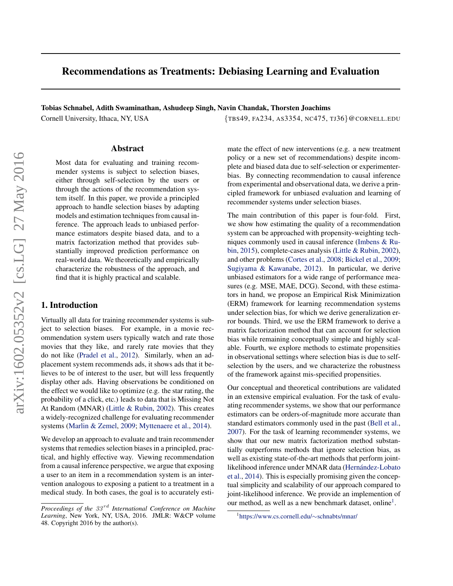# Recommendations as Treatments: Debiasing Learning and Evaluation

Tobias Schnabel, Adith Swaminathan, Ashudeep Singh, Navin Chandak, Thorsten Joachims

### Abstract

Most data for evaluating and training recommender systems is subject to selection biases, either through self-selection by the users or through the actions of the recommendation system itself. In this paper, we provide a principled approach to handle selection biases by adapting models and estimation techniques from causal inference. The approach leads to unbiased performance estimators despite biased data, and to a matrix factorization method that provides substantially improved prediction performance on real-world data. We theoretically and empirically characterize the robustness of the approach, and find that it is highly practical and scalable.

## 1. Introduction

Virtually all data for training recommender systems is subject to selection biases. For example, in a movie recommendation system users typically watch and rate those movies that they like, and rarely rate movies that they do not like [\(Pradel et al.,](#page-9-0) [2012\)](#page-9-0). Similarly, when an adplacement system recommends ads, it shows ads that it believes to be of interest to the user, but will less frequently display other ads. Having observations be conditioned on the effect we would like to optimize (e.g. the star rating, the probability of a click, etc.) leads to data that is Missing Not At Random (MNAR) [\(Little & Rubin,](#page-8-0) [2002\)](#page-8-0). This creates a widely-recognized challenge for evaluating recommender systems [\(Marlin & Zemel,](#page-8-0) [2009;](#page-8-0) [Myttenaere et al.,](#page-8-0) [2014\)](#page-8-0).

We develop an approach to evaluate and train recommender systems that remedies selection biases in a principled, practical, and highly effective way. Viewing recommendation from a causal inference perspective, we argue that exposing a user to an item in a recommendation system is an intervention analogous to exposing a patient to a treatment in a medical study. In both cases, the goal is to accurately esti-

Cornell University, Ithaca, NY, USA {TBS49, FA234, AS3354, NC475, TJ36}@CORNELL.EDU

mate the effect of new interventions (e.g. a new treatment policy or a new set of recommendations) despite incomplete and biased data due to self-selection or experimenterbias. By connecting recommendation to causal inference from experimental and observational data, we derive a principled framework for unbiased evaluation and learning of recommender systems under selection biases.

The main contribution of this paper is four-fold. First, we show how estimating the quality of a recommendation system can be approached with propensity-weighting techniques commonly used in causal inference [\(Imbens & Ru](#page-8-0)[bin,](#page-8-0) [2015\)](#page-8-0), complete-cases analysis [\(Little & Rubin,](#page-8-0) [2002\)](#page-8-0), and other problems [\(Cortes et al.,](#page-8-0) [2008;](#page-8-0) [Bickel et al.,](#page-8-0) [2009;](#page-8-0) [Sugiyama & Kawanabe,](#page-9-0) [2012\)](#page-9-0). In particular, we derive unbiased estimators for a wide range of performance measures (e.g. MSE, MAE, DCG). Second, with these estimators in hand, we propose an Empirical Risk Minimization (ERM) framework for learning recommendation systems under selection bias, for which we derive generalization error bounds. Third, we use the ERM framework to derive a matrix factorization method that can account for selection bias while remaining conceptually simple and highly scalable. Fourth, we explore methods to estimate propensities in observational settings where selection bias is due to selfselection by the users, and we characterize the robustness of the framework against mis-specified propensities.

Our conceptual and theoretical contributions are validated in an extensive empirical evaluation. For the task of evaluating recommender systems, we show that our performance estimators can be orders-of-magnitude more accurate than standard estimators commonly used in the past [\(Bell et al.,](#page-8-0) [2007\)](#page-8-0). For the task of learning recommender systems, we show that our new matrix factorization method substantially outperforms methods that ignore selection bias, as well as existing state-of-the-art methods that perform jointlikelihood inference under MNAR data (Hernández-Lobato [et al.,](#page-8-0) [2014\)](#page-8-0). This is especially promising given the conceptual simplicity and scalability of our approach compared to joint-likelihood inference. We provide an implemention of our method, as well as a new benchmark dataset, online<sup>1</sup>.

*Proceedings of the 33<sup>rd</sup> International Conference on Machine Learning*, New York, NY, USA, 2016. JMLR: W&CP volume 48. Copyright 2016 by the author(s).

<sup>1</sup> [https://www.cs.cornell.edu/](https://www.cs.cornell.edu/~schnabts/mnar/)∼schnabts/mnar/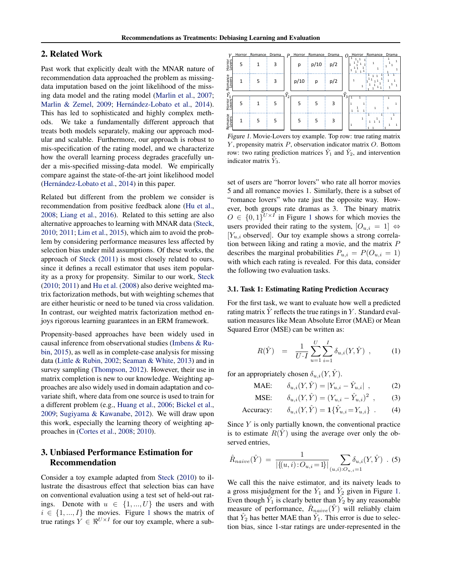## <span id="page-1-0"></span>2. Related Work

Past work that explicitly dealt with the MNAR nature of recommendation data approached the problem as missingdata imputation based on the joint likelihood of the missing data model and the rating model [\(Marlin et al.,](#page-8-0) [2007;](#page-8-0) [Marlin & Zemel,](#page-8-0) [2009;](#page-8-0) Hernández-Lobato et al., [2014\)](#page-8-0). This has led to sophisticated and highly complex methods. We take a fundamentally different approach that treats both models separately, making our approach modular and scalable. Furthermore, our approach is robust to mis-specification of the rating model, and we characterize how the overall learning process degrades gracefully under a mis-specified missing-data model. We empirically compare against the state-of-the-art joint likelihood model  $(Hernández-Lobato et al., 2014)$  $(Hernández-Lobato et al., 2014)$  in this paper.

Related but different from the problem we consider is recommendation from positive feedback alone [\(Hu et al.,](#page-8-0) [2008;](#page-8-0) [Liang et al.,](#page-8-0) [2016\)](#page-8-0). Related to this setting are also alternative approaches to learning with MNAR data [\(Steck,](#page-9-0) [2010;](#page-9-0) [2011;](#page-9-0) [Lim et al.,](#page-8-0) [2015\)](#page-8-0), which aim to avoid the problem by considering performance measures less affected by selection bias under mild assumptions. Of these works, the approach of [Steck](#page-9-0) [\(2011\)](#page-9-0) is most closely related to ours, since it defines a recall estimator that uses item popularity as a proxy for propensity. Similar to our work, [Steck](#page-9-0) [\(2010;](#page-9-0) [2011\)](#page-9-0) and [Hu et al.](#page-8-0) [\(2008\)](#page-8-0) also derive weighted matrix factorization methods, but with weighting schemes that are either heuristic or need to be tuned via cross validation. In contrast, our weighted matrix factorization method enjoys rigorous learning guarantees in an ERM framework.

Propensity-based approaches have been widely used in causal inference from observational studies [\(Imbens & Ru](#page-8-0)[bin,](#page-8-0) [2015\)](#page-8-0), as well as in complete-case analysis for missing data [\(Little & Rubin,](#page-8-0) [2002;](#page-8-0) [Seaman & White,](#page-9-0) [2013\)](#page-9-0) and in survey sampling [\(Thompson,](#page-9-0) [2012\)](#page-9-0). However, their use in matrix completion is new to our knowledge. Weighting approaches are also widely used in domain adaptation and covariate shift, where data from one source is used to train for a different problem (e.g., [Huang et al.,](#page-8-0) [2006;](#page-8-0) [Bickel et al.,](#page-8-0) [2009;](#page-8-0) [Sugiyama & Kawanabe,](#page-9-0) [2012\)](#page-9-0). We will draw upon this work, especially the learning theory of weighting approaches in [\(Cortes et al.,](#page-8-0) [2008;](#page-8-0) [2010\)](#page-8-0).

# 3. Unbiased Performance Estimation for Recommendation

Consider a toy example adapted from [Steck](#page-9-0) [\(2010\)](#page-9-0) to illustrate the disastrous effect that selection bias can have on conventional evaluation using a test set of held-out ratings. Denote with  $u \in \{1, ..., U\}$  the users and with  $i \in \{1, ..., I\}$  the movies. Figure 1 shows the matrix of true ratings  $Y \in \mathbb{R}^{U \times I}$  for our toy example, where a sub-

| v                 | Horror | Romance Drama |   | $\boldsymbol{P}$ |      | Horror Romance Drama |     | Horror<br>Romance Drama<br>$\Omega$ |
|-------------------|--------|---------------|---|------------------|------|----------------------|-----|-------------------------------------|
| Horror<br>Lovers  | 5      | 1             | 3 |                  | р    | p/10                 | p/2 | 1<br>1<br>$\mathbf{1}$              |
| Romance           | 1      | 5             | 3 |                  | p/10 | р                    | p/2 | $\mathbf{1}$<br>1<br>1<br>1         |
|                   |        |               |   |                  |      |                      |     | ťλ                                  |
| Horror<br>Lovers' | 5      |               |   | 2                |      |                      |     | 3<br>1<br>$\mathbf{1}$              |
|                   |        |               | 5 |                  | 5    | 5                    | З   |                                     |

Figure 1. Movie-Lovers toy example. Top row: true rating matrix  $Y$ , propensity matrix  $P$ , observation indicator matrix  $O$ . Bottom row: two rating prediction matrices  $\hat{Y}_1$  and  $\hat{Y}_2$ , and intervention indicator matrix  $Y_3$ .

set of users are "horror lovers" who rate all horror movies 5 and all romance movies 1. Similarly, there is a subset of "romance lovers" who rate just the opposite way. However, both groups rate dramas as 3. The binary matrix  $O \in \{0,1\}^{U \times I}$  in Figure 1 shows for which movies the users provided their rating to the system,  $[O_{u,i} = 1] \Leftrightarrow$  $[Y_{u,i}$  observed. Our toy example shows a strong correlation between liking and rating a movie, and the matrix P describes the marginal probabilities  $P_{u,i} = P(O_{u,i} = 1)$ with which each rating is revealed. For this data, consider the following two evaluation tasks.

### 3.1. Task 1: Estimating Rating Prediction Accuracy

For the first task, we want to evaluate how well a predicted rating matrix  $Y$  reflects the true ratings in  $Y$ . Standard evaluation measures like Mean Absolute Error (MAE) or Mean Squared Error (MSE) can be written as:

$$
R(\hat{Y}) = \frac{1}{U \cdot I} \sum_{u=1}^{U} \sum_{i=1}^{I} \delta_{u,i}(Y, \hat{Y}) , \qquad (1)
$$

for an appropriately chosen  $\delta_{u,i}(Y, \hat{Y})$ .

MAE: 
$$
\delta_{u,i}(Y, \hat{Y}) = |Y_{u,i} - \hat{Y}_{u,i}|,
$$
 (2)

MSE: 
$$
\delta_{u,i}(Y, \hat{Y}) = (Y_{u,i} - \hat{Y}_{u,i})^2
$$
, (3)

$$
\text{Accuracy:} \qquad \delta_{u,i}(Y,\hat{Y}) = \mathbf{1}\{\hat{Y}_{u,i} = Y_{u,i}\} \tag{4}
$$

Since  $Y$  is only partially known, the conventional practice is to estimate  $R(Y)$  using the average over only the observed entries,

$$
\hat{R}_{naive}(\hat{Y}) = \frac{1}{|\{(u,i):O_{u,i}=1\}|} \sum_{(u,i):O_{u,i}=1} \delta_{u,i}(Y,\hat{Y}) . (5)
$$

We call this the naive estimator, and its naivety leads to a gross misjudgment for the  $\hat{Y}_1$  and  $\hat{Y}_2$  given in Figure 1. Even though  $\hat{Y}_1$  is clearly better than  $\hat{Y}_2$  by any reasonable measure of performance,  $\hat{R}_{naive}(\hat{Y})$  will reliably claim that  $\hat{Y}_2$  has better MAE than  $\hat{Y}_1$ . This error is due to selection bias, since 1-star ratings are under-represented in the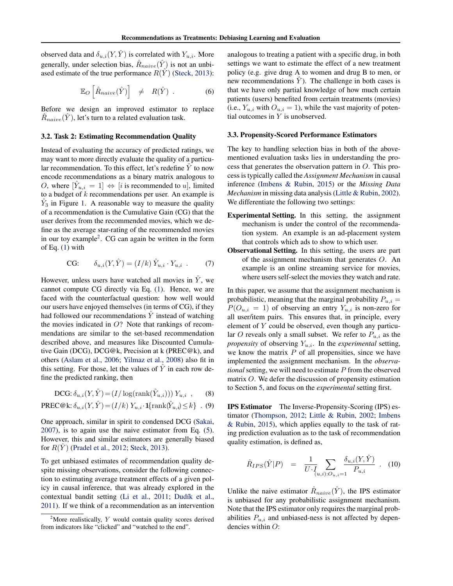<span id="page-2-0"></span>observed data and  $\delta_{u,i}(Y, \hat{Y})$  is correlated with  $Y_{u,i}$ . More generally, under selection bias,  $\hat{R}_{naive}(\hat{Y})$  is not an unbiased estimate of the true performance  $R(\hat{Y})$  [\(Steck,](#page-9-0) [2013\)](#page-9-0):

$$
\mathbb{E}_O\left[\hat{R}_{naive}(\hat{Y})\right] \neq R(\hat{Y}) . \tag{6}
$$

Before we design an improved estimator to replace  $\hat{R}_{naive}(\hat{Y})$ , let's turn to a related evaluation task.

#### 3.2. Task 2: Estimating Recommendation Quality

Instead of evaluating the accuracy of predicted ratings, we may want to more directly evaluate the quality of a particular recommendation. To this effect, let's redefine  $\overline{Y}$  to now encode recommendations as a binary matrix analogous to *O*, where  $[\hat{Y}_{u,i} = 1] \Leftrightarrow [i \text{ is recommended to } u]$ , limited to a budget of  $k$  recommendations per user. An example is  $\hat{Y}_3$  in Figure [1.](#page-1-0) A reasonable way to measure the quality of a recommendation is the Cumulative Gain (CG) that the user derives from the recommended movies, which we define as the average star-rating of the recommended movies in our toy example<sup>2</sup>. CG can again be written in the form of Eq. [\(1\)](#page-1-0) with

$$
\text{CG:} \qquad \delta_{u,i}(Y,\hat{Y}) = (I/k)\,\hat{Y}_{u,i} \cdot Y_{u,i} \tag{7}
$$

However, unless users have watched all movies in  $\hat{Y}$ , we cannot compute CG directly via Eq. [\(1\)](#page-1-0). Hence, we are faced with the counterfactual question: how well would our users have enjoyed themselves (in terms of CG), if they had followed our recommendations  $\hat{Y}$  instead of watching the movies indicated in  $O$ ? Note that rankings of recommendations are similar to the set-based recommendation described above, and measures like Discounted Cumulative Gain (DCG), DCG@k, Precision at k (PREC@k), and others [\(Aslam et al.,](#page-8-0) [2006;](#page-8-0) [Yilmaz et al.,](#page-9-0) [2008\)](#page-9-0) also fit in this setting. For those, let the values of  $\tilde{Y}$  in each row define the predicted ranking, then

$$
\text{DCG: } \delta_{u,i}(Y,\hat{Y}) = (I/\log(\text{rank}(\hat{Y}_{u,i}))) Y_{u,i} \quad , \qquad (8)
$$

$$
\text{PREC@k: } \delta_{u,i}(Y,\hat{Y})\!=\!(I/k)\,Y_{u,i}\!\cdot\! \mathbf{1}\!\{\text{rank}(\hat{Y}_{u,i})\!\leq\!k\}\;\; . \eqno(9)
$$

One approach, similar in spirit to condensed DCG [\(Sakai,](#page-9-0) [2007\)](#page-9-0), is to again use the naive estimator from Eq. [\(5\)](#page-1-0). However, this and similar estimators are generally biased for  $R(Y)$  [\(Pradel et al.,](#page-9-0) [2012;](#page-9-0) [Steck,](#page-9-0) [2013\)](#page-9-0).

To get unbiased estimates of recommendation quality despite missing observations, consider the following connection to estimating average treatment effects of a given policy in causal inference, that was already explored in the contextual bandit setting [\(Li et al.,](#page-8-0) [2011;](#page-8-0) Dudík et al., [2011\)](#page-8-0). If we think of a recommendation as an intervention

analogous to treating a patient with a specific drug, in both settings we want to estimate the effect of a new treatment policy (e.g. give drug A to women and drug B to men, or new recommendations  $\hat{Y}$ ). The challenge in both cases is that we have only partial knowledge of how much certain patients (users) benefited from certain treatments (movies) (i.e.,  $Y_{u,i}$  with  $O_{u,i} = 1$ ), while the vast majority of potential outcomes in Y is unobserved.

### 3.3. Propensity-Scored Performance Estimators

The key to handling selection bias in both of the abovementioned evaluation tasks lies in understanding the process that generates the observation pattern in O. This process is typically called the *Assignment Mechanism* in causal inference [\(Imbens & Rubin,](#page-8-0) [2015\)](#page-8-0) or the *Missing Data Mechanism* in missing data analysis [\(Little & Rubin,](#page-8-0) [2002\)](#page-8-0). We differentiate the following two settings:

- Experimental Setting. In this setting, the assignment mechanism is under the control of the recommendation system. An example is an ad-placement system that controls which ads to show to which user.
- Observational Setting. In this setting, the users are part of the assignment mechanism that generates O. An example is an online streaming service for movies, where users self-select the movies they watch and rate.

In this paper, we assume that the assignment mechanism is probabilistic, meaning that the marginal probability  $P_{u,i} =$  $P(O_{u,i} = 1)$  of observing an entry  $Y_{u,i}$  is non-zero for all user/item pairs. This ensures that, in principle, every element of Y could be observed, even though any particular O reveals only a small subset. We refer to  $P_{u,i}$  as the *propensity* of observing  $Y_{u,i}$ . In the *experimental* setting, we know the matrix  $P$  of all propensities, since we have implemented the assignment mechanism. In the *observational* setting, we will need to estimate P from the observed matrix O. We defer the discussion of propensity estimation to Section [5,](#page-4-0) and focus on the *experimental* setting first.

IPS Estimator The Inverse-Propensity-Scoring (IPS) estimator [\(Thompson,](#page-9-0) [2012;](#page-9-0) [Little & Rubin,](#page-8-0) [2002;](#page-8-0) [Imbens](#page-8-0) [& Rubin,](#page-8-0) [2015\)](#page-8-0), which applies equally to the task of rating prediction evaluation as to the task of recommendation quality estimation, is defined as,

$$
\hat{R}_{IPS}(\hat{Y}|P) = \frac{1}{U \cdot I} \sum_{(u,i):O_{u,i}=1} \frac{\delta_{u,i}(Y, \hat{Y})}{P_{u,i}} . \quad (10)
$$

Unlike the naive estimator  $\hat{R}_{naive}(\hat{Y})$ , the IPS estimator is unbiased for any probabilistic assignment mechanism. Note that the IPS estimator only requires the marginal probabilities  $P_{u,i}$  and unbiased-ness is not affected by dependencies within O:

<sup>&</sup>lt;sup>2</sup>More realistically,  $Y$  would contain quality scores derived from indicators like "clicked" and "watched to the end".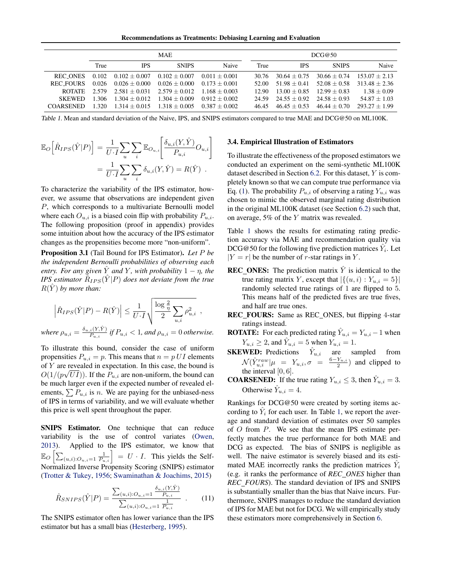Recommendations as Treatments: Debiasing Learning and Evaluation

<span id="page-3-0"></span>

|                  |       |                 | <b>MAE</b>        |                 | DCG@50 |                |                |                 |
|------------------|-------|-----------------|-------------------|-----------------|--------|----------------|----------------|-----------------|
|                  | True  | <b>IPS</b>      | <b>SNIPS</b>      | Naive           | True   | <b>IPS</b>     | <b>SNIPS</b>   | Naive           |
| REC ONES         | 0.102 | $0.102 + 0.007$ | $0.102 + 0.007$   | $0.011 + 0.001$ | 30.76  | $30.64 + 0.75$ | $30.66 + 0.74$ | $153.07 + 2.13$ |
| REC FOURS        | 0.026 | $0.026 + 0.000$ | $0.026 \pm 0.000$ | $0.173 + 0.001$ | 52.00  | $51.98 + 0.41$ | $52.08 + 0.58$ | $313.48 + 2.36$ |
| <b>ROTATE</b>    | 2.579 | $2.581 + 0.031$ | $2.579 + 0.012$   | $1.168 + 0.003$ | 12.90  | $13.00 + 0.85$ | $12.99 + 0.83$ | $1.38 + 0.09$   |
| <b>SKEWED</b>    | 1.306 | $1.304 + 0.012$ | $1.304 + 0.009$   | $0.912 + 0.002$ | 24.59  | $24.55 + 0.92$ | $24.58 + 0.93$ | $54.87 + 1.03$  |
| <b>COARSENED</b> | 1.320 | $1.314 + 0.015$ | $1.318 + 0.005$   | $0.387 + 0.002$ | 46.45  | $46.45 + 0.53$ | $46.44 + 0.70$ | $293.27 + 1.99$ |

Table 1. Mean and standard deviation of the Naive, IPS, and SNIPS estimators compared to true MAE and DCG@50 on ML100K.

$$
\mathbb{E}_{O}\Big[\hat{R}_{IPS}(\hat{Y}|P)\Big] = \frac{1}{U \cdot I} \sum_{u} \sum_{i} \mathbb{E}_{O_{u,i}} \Big[\frac{\delta_{u,i}(Y, \hat{Y})}{P_{u,i}} O_{u,i}\Big]
$$

$$
= \frac{1}{U \cdot I} \sum_{u} \sum_{i} \delta_{u,i}(Y, \hat{Y}) = R(\hat{Y}) .
$$

To characterize the variability of the IPS estimator, however, we assume that observations are independent given P, which corresponds to a multivariate Bernoulli model where each  $O_{u,i}$  is a biased coin flip with probability  $P_{u,i}$ . The following proposition (proof in appendix) provides some intuition about how the accuracy of the IPS estimator changes as the propensities become more "non-uniform".

Proposition 3.1 (Tail Bound for IPS Estimator). *Let* P *be the independent Bernoulli probabilities of observing each entry. For any given*  $\hat{Y}$  *and* Y, with probability  $1 - \eta$ , the *IPS estimator*  $\hat{R}_{IPS}(\hat{Y}|P)$  *does not deviate from the true*  $R(Y)$  by more than:

$$
\left| \hat{R}_{IPS}(\hat{Y}|P) - R(\hat{Y}) \right| \leq \frac{1}{U \cdot I} \sqrt{\frac{\log \frac{2}{\eta}}{2} \sum_{u,i} \rho_{u,i}^2} ,
$$

*where*  $\rho_{u,i} = \frac{\delta_{u,i}(Y,\hat{Y})}{P_{u,i}}$  $\frac{i(Y,Y)}{P_{u,i}}$  if  $P_{u,i} < 1$ , and  $\rho_{u,i} = 0$  otherwise.

To illustrate this bound, consider the case of uniform propensities  $P_{u,i} = p$ . This means that  $n = p U I$  elements of Y are revealed in expectation. In this case, the bound is  $O(1/(p\sqrt{UI}))$ . If the  $P_{u,i}$  are non-uniform, the bound can be much larger even if the expected number of revealed elements,  $\sum P_{u,i}$  is n. We are paying for the unbiased-ness of IPS in terms of variability, and we will evaluate whether this price is well spent throughout the paper.

SNIPS Estimator. One technique that can reduce variability is the use of control variates [\(Owen,](#page-8-0) [2013\)](#page-8-0). Applied to the IPS estimator, we know that  $\mathbb{E}_O\left[\sum_{(u,i):O_{u,i}=1}\frac{1}{P_{u,i}}\right] = U \cdot I$ . This yields the Self-Normalized Inverse Propensity Scoring (SNIPS) estimator [\(Trotter & Tukey,](#page-9-0) [1956;](#page-9-0) [Swaminathan & Joachims,](#page-9-0) [2015\)](#page-9-0)

$$
\hat{R}_{SNIPS}(\hat{Y}|P) = \frac{\sum_{(u,i):O_{u,i}=1} \frac{\delta_{u,i}(Y,\hat{Y})}{P_{u,i}}}{\sum_{(u,i):O_{u,i}=1} \frac{1}{P_{u,i}}} \quad . \tag{11}
$$

The SNIPS estimator often has lower variance than the IPS estimator but has a small bias [\(Hesterberg,](#page-8-0) [1995\)](#page-8-0).

### 3.4. Empirical Illustration of Estimators

To illustrate the effectiveness of the proposed estimators we conducted an experiment on the semi-synthetic ML100K dataset described in Section [6.2.](#page-5-0) For this dataset, Y is completely known so that we can compute true performance via Eq. [\(1\)](#page-1-0). The probability  $P_{u,i}$  of observing a rating  $Y_{u,i}$  was chosen to mimic the observed marginal rating distribution in the original ML100K dataset (see Section [6.2\)](#page-5-0) such that, on average, 5% of the Y matrix was revealed.

Table 1 shows the results for estimating rating prediction accuracy via MAE and recommendation quality via DCG@50 for the following five prediction matrices  $\hat{Y}_i$ . Let  $|Y = r|$  be the number of r-star ratings in Y.

- **REC\_ONES:** The prediction matrix  $\hat{Y}$  is identical to the true rating matrix Y, except that  $|\{(u, i) : Y_{u,i} = 5\}|$ randomly selected true ratings of 1 are flipped to 5. This means half of the predicted fives are true fives, and half are true ones.
- REC\_FOURS: Same as REC\_ONES, but flipping 4-star ratings instead.
- **ROTATE:** For each predicted rating  $\hat{Y}_{u,i} = Y_{u,i} 1$  when  $Y_{u,i} \geq 2$ , and  $\hat{Y}_{u,i} = 5$  when  $Y_{u,i} = 1$ .
- **SKEWED:** Predictions  $\hat{Y}_{u,i}$  are sampled from  $\mathcal{N}(\hat{Y}_{u,i}^{raw}|\mu = Y_{u,i}, \sigma = \frac{6-Y_{u,i}}{2})$  and clipped to the interval  $[0, 6]$ .
- **COARSENED:** If the true rating  $Y_{u,i} \leq 3$ , then  $\hat{Y}_{u,i} = 3$ . Otherwise  $\hat{Y}_{u,i} = 4$ .

Rankings for DCG@50 were created by sorting items according to  $\hat{Y}_i$  for each user. In Table 1, we report the average and standard deviation of estimates over 50 samples of  $O$  from  $P$ . We see that the mean IPS estimate perfectly matches the true performance for both MAE and DCG as expected. The bias of SNIPS is negligible as well. The naive estimator is severely biased and its estimated MAE incorrectly ranks the prediction matrices  $\hat{Y}_i$ (e.g. it ranks the performance of *REC ONES* higher than *REC FOURS*). The standard deviation of IPS and SNIPS is substantially smaller than the bias that Naive incurs. Furthermore, SNIPS manages to reduce the standard deviation of IPS for MAE but not for DCG. We will empirically study these estimators more comprehensively in Section [6.](#page-5-0)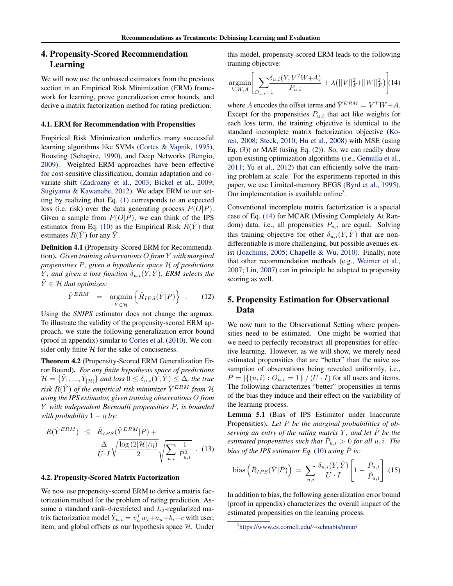## <span id="page-4-0"></span>4. Propensity-Scored Recommendation Learning

We will now use the unbiased estimators from the previous section in an Empirical Risk Minimization (ERM) framework for learning, prove generalization error bounds, and derive a matrix factorization method for rating prediction.

#### 4.1. ERM for Recommendation with Propensities

Empirical Risk Minimization underlies many successful learning algorithms like SVMs [\(Cortes & Vapnik,](#page-8-0) [1995\)](#page-8-0), Boosting [\(Schapire,](#page-9-0) [1990\)](#page-9-0), and Deep Networks [\(Bengio,](#page-8-0) [2009\)](#page-8-0). Weighted ERM approaches have been effective for cost-sensitive classification, domain adaptation and covariate shift [\(Zadrozny et al.,](#page-9-0) [2003;](#page-9-0) [Bickel et al.,](#page-8-0) [2009;](#page-8-0) [Sugiyama & Kawanabe,](#page-9-0) [2012\)](#page-9-0). We adapt ERM to our setting by realizing that Eq. [\(1\)](#page-1-0) corresponds to an expected loss (i.e. risk) over the data generating process  $P(O|P)$ . Given a sample from  $P(O|P)$ , we can think of the IPS estimator from Eq. [\(10\)](#page-2-0) as the Empirical Risk  $R(Y)$  that estimates  $R(Y)$  for any  $Y$ .

Definition 4.1 (Propensity-Scored ERM for Recommendation). *Given training observations* O *from* Y *with marginal propensities* P*, given a hypothesis space* H *of predictions*  $\hat{Y}$ *, and given a loss function*  $\delta_{u,i}(Y, \hat{Y})$ *, ERM selects the*  $\hat{Y} \in \mathcal{H}$  *that optimizes:* 

$$
\hat{Y}^{ERM} = \underset{\hat{Y} \in \mathcal{H}}{\operatorname{argmin}} \left\{ \hat{R}_{IPS}(\hat{Y}|P) \right\} . \tag{12}
$$

Using the *SNIPS* estimator does not change the argmax. To illustrate the validity of the propensity-scored ERM approach, we state the following generalization error bound (proof in appendix) similar to [Cortes et al.](#page-8-0) [\(2010\)](#page-8-0). We consider only finite  $H$  for the sake of conciseness.

Theorem 4.2 (Propensity-Scored ERM Generalization Error Bound). *For any finite hypothesis space of predictions*  $\mathcal{H} = \{\hat{Y}_1, ..., \hat{Y}_{|\mathcal{H}|}\}$  and loss  $0 \leq \delta_{u,i}(\hat{Y}, \hat{Y}) \leq \Delta$ *, the true risk*  $R(\hat{Y})$  *of the empirical risk minimizer*  $\hat{Y}^{ERM}$  *from*  $\mathcal{H}$ *using the IPS estimator, given training observations* O *from* Y *with independent Bernoulli propensities* P*, is bounded with probability*  $1 - \eta$  *by:* 

$$
R(\hat{Y}^{ERM}) \leq \hat{R}_{IPS}(\hat{Y}^{ERM}|P) + \frac{\Delta}{U \cdot I} \sqrt{\frac{\log(2|\mathcal{H}|/\eta)}{2}} \sqrt{\sum_{u,i} \frac{1}{P_{u,i}^2}} \quad (13)
$$

#### 4.2. Propensity-Scored Matrix Factorization

We now use propensity-scored ERM to derive a matrix factorization method for the problem of rating prediction. Assume a standard rank-d-restricted and  $L_2$ -regularized matrix factorization model  $\hat{Y}_{u,i} = v_u^T w_i + a_u + b_i + c$  with user, item, and global offsets as our hypothesis space  $H$ . Under this model, propensity-scored ERM leads to the following training objective:

$$
\underset{V,W,A}{\text{argmin}} \Bigg[ \sum_{O_{u,i}=1} \frac{\delta_{u,i}(Y, V^T W+A)}{P_{u,i}} + \lambda (||V||_F^2 + ||W||_F^2) \Bigg] (14)
$$

where A encodes the offset terms and  $\hat{Y}^{ERM} = V^T W + A$ . Except for the propensities  $P_{u,i}$  that act like weights for each loss term, the training objective is identical to the standard incomplete matrix factorization objective [\(Ko](#page-8-0)[ren,](#page-8-0) [2008;](#page-8-0) [Steck,](#page-9-0) [2010;](#page-9-0) [Hu et al.,](#page-8-0) [2008\)](#page-8-0) with MSE (using Eq.  $(3)$ ) or MAE (using Eq.  $(2)$ ). So, we can readily draw upon existing optimization algorithms (i.e., [Gemulla et al.,](#page-8-0) [2011;](#page-8-0) [Yu et al.,](#page-9-0) [2012\)](#page-9-0) that can efficiently solve the training problem at scale. For the experiments reported in this paper, we use Limited-memory BFGS [\(Byrd et al.,](#page-8-0) [1995\)](#page-8-0). Our implementation is available online<sup>3</sup>.

Conventional incomplete matrix factorization is a special case of Eq. (14) for MCAR (Missing Completely At Random) data, i.e., all propensities  $P_{u,i}$  are equal. Solving this training objective for other  $\delta_{u,i}(Y, \hat{Y})$  that are nondifferentiable is more challenging, but possible avenues exist [\(Joachims,](#page-8-0) [2005;](#page-8-0) [Chapelle & Wu,](#page-8-0) [2010\)](#page-8-0). Finally, note that other recommendation methods (e.g., [Weimer et al.,](#page-9-0) [2007;](#page-9-0) [Lin,](#page-8-0) [2007\)](#page-8-0) can in principle be adapted to propensity scoring as well.

## 5. Propensity Estimation for Observational Data

We now turn to the Observational Setting where propensities need to be estimated. One might be worried that we need to perfectly reconstruct all propensities for effective learning. However, as we will show, we merely need estimated propensities that are "better" than the naive assumption of observations being revealed uniformly, i.e.,  $P = |\{(u, i) : O_{u,i} = 1\}| / (U \cdot I)$  for all users and items. The following characterizes "better" propensities in terms of the bias they induce and their effect on the variability of the learning process.

Lemma 5.1 (Bias of IPS Estimator under Inaccurate Propensities). *Let* P *be the marginal probabilities of observing an entry of the rating matrix* Y *, and let* Pˆ *be the estimated propensities such that*  $\hat{P}_{u,i} > 0$  *for all*  $u, i$ . The *bias of the IPS estimator Eq.* [\(10\)](#page-2-0) *using*  $\hat{P}$  *is:* 

bias 
$$
\left(\hat{R}_{IPS}(\hat{Y}|\hat{P})\right) = \sum_{u,i} \frac{\delta_{u,i}(Y,\hat{Y})}{U \cdot I} \left[1 - \frac{P_{u,i}}{\hat{P}_{u,i}}\right]
$$
 (15)

In addition to bias, the following generalization error bound (proof in appendix) characterizes the overall impact of the estimated propensities on the learning process.

<sup>3</sup> [https://www.cs.cornell.edu/](https://www.cs.cornell.edu/~schnabts/mnar/)∼schnabts/mnar/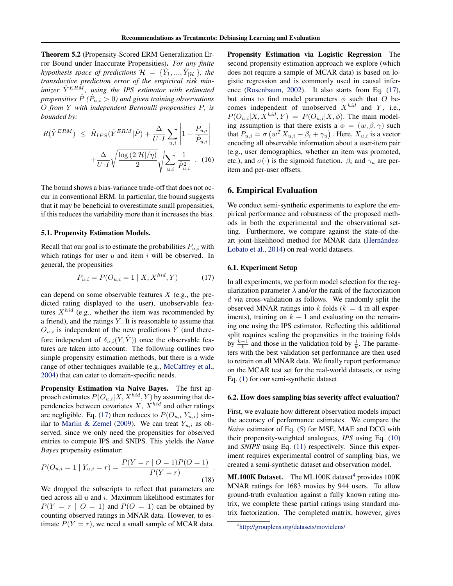<span id="page-5-0"></span>Theorem 5.2 (Propensity-Scored ERM Generalization Error Bound under Inaccurate Propensities). *For any finite hypothesis space of predictions*  $\mathcal{H} = {\hat{Y}_1, ..., \hat{Y}_{|\mathcal{H}|}}$ *, the transductive prediction error of the empirical risk min* $imizer \ \hat{Y}^{ER\hat{M}}$ , using the IPS estimator with estimated *propensities*  $\hat{P}$  ( $\hat{P}_{u,i} > 0$ ) and given training observations O *from* Y *with independent Bernoulli propensities* P*, is bounded by:*

$$
R(\hat{Y}^{ERM}) \leq \hat{R}_{IPS}(\hat{Y}^{ERM}|\hat{P}) + \frac{\Delta}{U \cdot I} \sum_{u,i} \left| 1 - \frac{P_{u,i}}{\hat{P}_{u,i}} \right| + \frac{\Delta}{U \cdot I} \sqrt{\frac{\log(2|\mathcal{H}|/\eta)}{2}} \sqrt{\sum_{u,i} \frac{1}{\hat{P}_{u,i}^2}} \quad (16)
$$

The bound shows a bias-variance trade-off that does not occur in conventional ERM. In particular, the bound suggests that it may be beneficial to overestimate small propensities, if this reduces the variability more than it increases the bias.

### 5.1. Propensity Estimation Models.

Recall that our goal is to estimate the probabilities  $P_{u,i}$  with which ratings for user  $u$  and item  $i$  will be observed. In general, the propensities

$$
P_{u,i} = P(O_{u,i} = 1 \mid X, X^{hid}, Y) \tag{17}
$$

can depend on some observable features  $X$  (e.g., the predicted rating displayed to the user), unobservable features  $X^{hid}$  (e.g., whether the item was recommended by a friend), and the ratings  $Y$ . It is reasonable to assume that  $O_{u,i}$  is independent of the new predictions  $\hat{Y}$  (and therefore independent of  $\delta_{u,i}(Y, \hat{Y})$  once the observable features are taken into account. The following outlines two simple propensity estimation methods, but there is a wide range of other techniques available (e.g., [McCaffrey et al.,](#page-8-0) [2004\)](#page-8-0) that can cater to domain-specific needs.

Propensity Estimation via Naive Bayes. The first approach estimates  $P(O_{u,i}|X, X^{hid}, Y)$  by assuming that dependencies between covariates  $X$ ,  $X^{hid}$  and other ratings are negligible. Eq. (17) then reduces to  $P(O_{u,i}|Y_{u,i})$  sim-ilar to [Marlin & Zemel](#page-8-0) [\(2009\)](#page-8-0). We can treat  $Y_{u,i}$  as observed, since we only need the propensities for observed entries to compute IPS and SNIPS. This yields the *Naive Bayes* propensity estimator:

$$
P(O_{u,i} = 1 | Y_{u,i} = r) = \frac{P(Y = r | O = 1)P(O = 1)}{P(Y = r)}.
$$
\n(18)

We dropped the subscripts to reflect that parameters are tied across all  $u$  and  $i$ . Maximum likelihood estimates for  $P(Y = r | O = 1)$  and  $P(O = 1)$  can be obtained by counting observed ratings in MNAR data. However, to estimate  $P(Y = r)$ , we need a small sample of MCAR data. Propensity Estimation via Logistic Regression The second propensity estimation approach we explore (which does not require a sample of MCAR data) is based on logistic regression and is commonly used in causal inference [\(Rosenbaum,](#page-9-0) [2002\)](#page-9-0). It also starts from Eq. (17), but aims to find model parameters  $\phi$  such that O becomes independent of unobserved  $X^{hid}$  and Y, i.e.,  $P(O_{u,i}|X, X^{hid}, Y) = P(O_{u,i}|X, \phi)$ . The main modeling assumption is that there exists a  $\phi = (w, \beta, \gamma)$  such that  $P_{u,i} = \sigma \left( w^T X_{u,i} + \beta_i + \gamma_u \right)$ . Here,  $X_{u,i}$  is a vector encoding all observable information about a user-item pair (e.g., user demographics, whether an item was promoted, etc.), and  $\sigma(\cdot)$  is the sigmoid function.  $\beta_i$  and  $\gamma_u$  are peritem and per-user offsets.

### 6. Empirical Evaluation

We conduct semi-synthetic experiments to explore the empirical performance and robustness of the proposed methods in both the experimental and the observational setting. Furthermore, we compare against the state-of-theart joint-likelihood method for MNAR data (Hernández-[Lobato et al.,](#page-8-0) [2014\)](#page-8-0) on real-world datasets.

### 6.1. Experiment Setup

In all experiments, we perform model selection for the regularization parameter  $\lambda$  and/or the rank of the factorization d via cross-validation as follows. We randomly split the observed MNAR ratings into k folds ( $k = 4$  in all experiments), training on  $k - 1$  and evaluating on the remaining one using the IPS estimator. Reflecting this additional split requires scaling the propensities in the training folds by  $\frac{k-1}{k}$  and those in the validation fold by  $\frac{1}{k}$ . The parameters with the best validation set performance are then used to retrain on all MNAR data. We finally report performance on the MCAR test set for the real-world datasets, or using Eq. [\(1\)](#page-1-0) for our semi-synthetic dataset.

#### 6.2. How does sampling bias severity affect evaluation?

First, we evaluate how different observation models impact the accuracy of performance estimates. We compare the *Naive* estimator of Eq. [\(5\)](#page-1-0) for MSE, MAE and DCG with their propensity-weighted analogues, *IPS* using Eq. [\(10\)](#page-2-0) and *SNIPS* using Eq. [\(11\)](#page-3-0) respectively. Since this experiment requires experimental control of sampling bias, we created a semi-synthetic dataset and observation model.

ML100K Dataset. The ML100K dataset<sup>4</sup> provides  $100K$ MNAR ratings for 1683 movies by 944 users. To allow ground-truth evaluation against a fully known rating matrix, we complete these partial ratings using standard matrix factorization. The completed matrix, however, gives

<sup>4</sup> <http://grouplens.org/datasets/movielens/>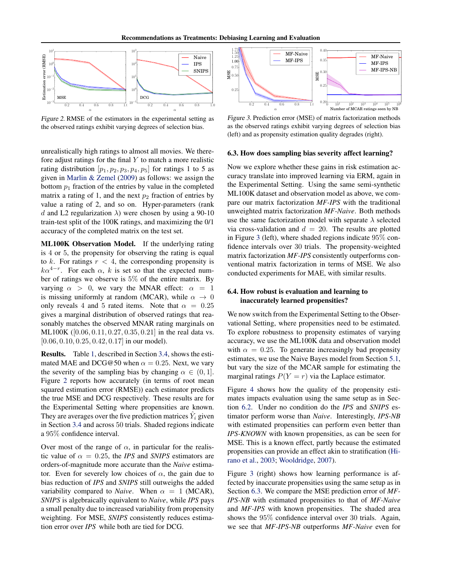

Figure 2. RMSE of the estimators in the experimental setting as the observed ratings exhibit varying degrees of selection bias.

unrealistically high ratings to almost all movies. We therefore adjust ratings for the final  $Y$  to match a more realistic rating distribution  $[p_1, p_2, p_3, p_4, p_5]$  for ratings 1 to 5 as given in [Marlin & Zemel](#page-8-0) [\(2009\)](#page-8-0) as follows: we assign the bottom  $p_1$  fraction of the entries by value in the completed matrix a rating of 1, and the next  $p_2$  fraction of entries by value a rating of 2, and so on. Hyper-parameters (rank d and L2 regularization  $\lambda$ ) were chosen by using a 90-10 train-test split of the 100K ratings, and maximizing the 0/1 accuracy of the completed matrix on the test set.

ML100K Observation Model. If the underlying rating is 4 or 5, the propensity for observing the rating is equal to k. For ratings  $r < 4$ , the corresponding propensity is  $k\alpha^{4-r}$ . For each  $\alpha$ , k is set so that the expected number of ratings we observe is 5% of the entire matrix. By varying  $\alpha > 0$ , we vary the MNAR effect:  $\alpha = 1$ is missing uniformly at random (MCAR), while  $\alpha \rightarrow 0$ only reveals 4 and 5 rated items. Note that  $\alpha = 0.25$ gives a marginal distribution of observed ratings that reasonably matches the observed MNAR rating marginals on ML100K ([0.06, 0.11, 0.27, 0.35, 0.21] in the real data vs. [0.06, 0.10, 0.25, 0.42, 0.17] in our model).

Results. Table [1,](#page-3-0) described in Section [3.4,](#page-3-0) shows the estimated MAE and DCG@50 when  $\alpha = 0.25$ . Next, we vary the severity of the sampling bias by changing  $\alpha \in (0, 1]$ . Figure 2 reports how accurately (in terms of root mean squared estimation error (RMSE)) each estimator predicts the true MSE and DCG respectively. These results are for the Experimental Setting where propensities are known. They are averages over the five prediction matrices  $\hat{Y}_i$  given in Section [3.4](#page-3-0) and across 50 trials. Shaded regions indicate a 95% confidence interval.

Over most of the range of  $\alpha$ , in particular for the realistic value of  $\alpha = 0.25$ , the *IPS* and *SNIPS* estimators are orders-of-magnitude more accurate than the *Naive* estimator. Even for severely low choices of  $\alpha$ , the gain due to bias reduction of *IPS* and *SNIPS* still outweighs the added variability compared to *Naive*. When  $\alpha = 1$  (MCAR), *SNIPS* is algebraically equivalent to *Naive*, while *IPS* pays a small penalty due to increased variability from propensity weighting. For MSE, *SNIPS* consistently reduces estimation error over *IPS* while both are tied for DCG.



Figure 3. Prediction error (MSE) of matrix factorization methods as the observed ratings exhibit varying degrees of selection bias (left) and as propensity estimation quality degrades (right).

### 6.3. How does sampling bias severity affect learning?

Now we explore whether these gains in risk estimation accuracy translate into improved learning via ERM, again in the Experimental Setting. Using the same semi-synthetic ML100K dataset and observation model as above, we compare our matrix factorization *MF-IPS* with the traditional unweighted matrix factorization *MF-Naive*. Both methods use the same factorization model with separate  $\lambda$  selected via cross-validation and  $d = 20$ . The results are plotted in Figure 3 (left), where shaded regions indicate 95% confidence intervals over 30 trials. The propensity-weighted matrix factorization *MF-IPS* consistently outperforms conventional matrix factorization in terms of MSE. We also conducted experiments for MAE, with similar results.

## 6.4. How robust is evaluation and learning to inaccurately learned propensities?

We now switch from the Experimental Setting to the Observational Setting, where propensities need to be estimated. To explore robustness to propensity estimates of varying accuracy, we use the ML100K data and observation model with  $\alpha = 0.25$ . To generate increasingly bad propensity estimates, we use the Naive Bayes model from Section [5.1,](#page-5-0) but vary the size of the MCAR sample for estimating the marginal ratings  $P(Y = r)$  via the Laplace estimator.

Figure [4](#page-7-0) shows how the quality of the propensity estimates impacts evaluation using the same setup as in Section [6.2.](#page-5-0) Under no condition do the *IPS* and *SNIPS* estimator perform worse than *Naive*. Interestingly, *IPS-NB* with estimated propensities can perform even better than *IPS-KNOWN* with known propensities, as can be seen for MSE. This is a known effect, partly because the estimated propensities can provide an effect akin to stratification [\(Hi](#page-8-0)[rano et al.,](#page-8-0) [2003;](#page-8-0) [Wooldridge,](#page-9-0) [2007\)](#page-9-0).

Figure 3 (right) shows how learning performance is affected by inaccurate propensities using the same setup as in Section 6.3. We compare the MSE prediction error of *MF-IPS-NB* with estimated propensities to that of *MF-Naive* and *MF-IPS* with known propensities. The shaded area shows the 95% confidence interval over 30 trials. Again, we see that *MF-IPS-NB* outperforms *MF-Naive* even for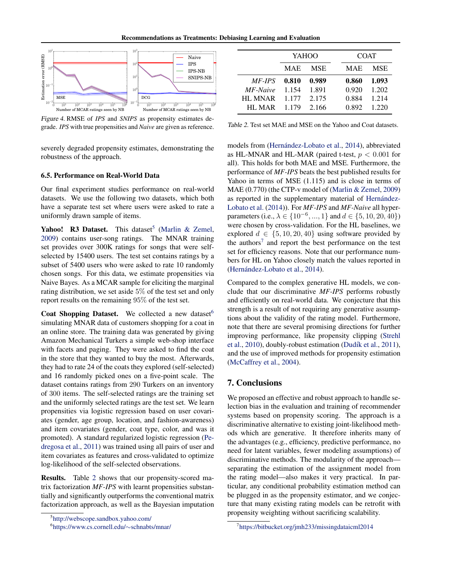<span id="page-7-0"></span>

Figure 4. RMSE of *IPS* and *SNIPS* as propensity estimates degrade. *IPS* with true propensities and *Naive* are given as reference.

severely degraded propensity estimates, demonstrating the robustness of the approach.

### 6.5. Performance on Real-World Data

Our final experiment studies performance on real-world datasets. We use the following two datasets, which both have a separate test set where users were asked to rate a uniformly drawn sample of items.

Yahoo! R3 Dataset. This dataset<sup>5</sup> [\(Marlin & Zemel,](#page-8-0) [2009\)](#page-8-0) contains user-song ratings. The MNAR training set provides over 300K ratings for songs that were selfselected by 15400 users. The test set contains ratings by a subset of 5400 users who were asked to rate 10 randomly chosen songs. For this data, we estimate propensities via Naive Bayes. As a MCAR sample for eliciting the marginal rating distribution, we set aside 5% of the test set and only report results on the remaining 95% of the test set.

Coat Shopping Dataset. We collected a new dataset<sup>6</sup> simulating MNAR data of customers shopping for a coat in an online store. The training data was generated by giving Amazon Mechanical Turkers a simple web-shop interface with facets and paging. They were asked to find the coat in the store that they wanted to buy the most. Afterwards, they had to rate 24 of the coats they explored (self-selected) and 16 randomly picked ones on a five-point scale. The dataset contains ratings from 290 Turkers on an inventory of 300 items. The self-selected ratings are the training set and the uniformly selected ratings are the test set. We learn propensities via logistic regression based on user covariates (gender, age group, location, and fashion-awareness) and item covariates (gender, coat type, color, and was it promoted). A standard regularized logistic regression [\(Pe](#page-9-0)[dregosa et al.,](#page-9-0) [2011\)](#page-9-0) was trained using all pairs of user and item covariates as features and cross-validated to optimize log-likelihood of the self-selected observations.

Results. Table 2 shows that our propensity-scored matrix factorization *MF-IPS* with learnt propensities substantially and significantly outperforms the conventional matrix factorization approach, as well as the Bayesian imputation

|                | YAHOO      |            |  | <b>COAT</b> |       |  |
|----------------|------------|------------|--|-------------|-------|--|
|                | <b>MAE</b> | <b>MSE</b> |  | <b>MAE</b>  | MSE   |  |
| MF-IPS         | 0.810      | 0.989      |  | 0.860       | 1.093 |  |
| MF-Naive       | 1.154      | 1.891      |  | 0.920       | 1.202 |  |
| <b>HL MNAR</b> | 1.177      | 2.175      |  | 0.884       | 1.214 |  |
| HL MAR         | 1.179      | 2.166      |  | 0.892       | 1.220 |  |

Table 2. Test set MAE and MSE on the Yahoo and Coat datasets.

models from (Hernández-Lobato et al., [2014\)](#page-8-0), abbreviated as HL-MNAR and HL-MAR (paired t-test,  $p < 0.001$  for all). This holds for both MAE and MSE. Furthermore, the performance of *MF-IPS* beats the best published results for Yahoo in terms of MSE (1.115) and is close in terms of MAE (0.770) (the CTP-v model of [\(Marlin & Zemel,](#page-8-0) [2009\)](#page-8-0) as reported in the supplementary material of Hernández-[Lobato et al.](#page-8-0) [\(2014\)](#page-8-0)). For *MF-IPS* and *MF-Naive* all hyperparameters (i.e.,  $\lambda \in \{10^{-6}, ..., 1\}$  and  $d \in \{5, 10, 20, 40\}$ ) were chosen by cross-validation. For the HL baselines, we explored  $d \in \{5, 10, 20, 40\}$  using software provided by the authors<sup>7</sup> and report the best performance on the test set for efficiency reasons. Note that our performance numbers for HL on Yahoo closely match the values reported in (Hernández-Lobato et al., [2014\)](#page-8-0).

Compared to the complex generative HL models, we conclude that our discriminative *MF-IPS* performs robustly and efficiently on real-world data. We conjecture that this strength is a result of not requiring any generative assumptions about the validity of the rating model. Furthermore, note that there are several promising directions for further improving performance, like propensity clipping [\(Strehl](#page-9-0) [et al.,](#page-9-0) [2010\)](#page-9-0), doubly-robust estimation (Dudík et al., [2011\)](#page-8-0), and the use of improved methods for propensity estimation [\(McCaffrey et al.,](#page-8-0) [2004\)](#page-8-0).

## 7. Conclusions

We proposed an effective and robust approach to handle selection bias in the evaluation and training of recommender systems based on propensity scoring. The approach is a discriminative alternative to existing joint-likelihood methods which are generative. It therefore inherits many of the advantages (e.g., efficiency, predictive performance, no need for latent variables, fewer modeling assumptions) of discriminative methods. The modularity of the approach separating the estimation of the assignment model from the rating model—also makes it very practical. In particular, any conditional probability estimation method can be plugged in as the propensity estimator, and we conjecture that many existing rating models can be retrofit with propensity weighting without sacrificing scalability.

<sup>5</sup> <http://webscope.sandbox.yahoo.com/>

<sup>6</sup> [https://www.cs.cornell.edu/](https://www.cs.cornell.edu/~schnabts/mnar/)∼schnabts/mnar/

<sup>7</sup> <https://bitbucket.org/jmh233/missingdataicml2014>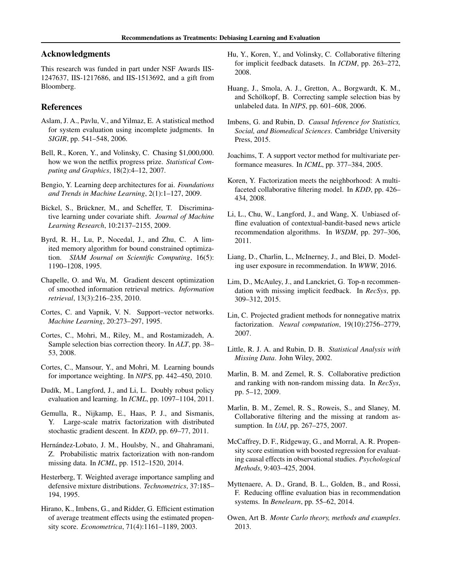## <span id="page-8-0"></span>Acknowledgments

This research was funded in part under NSF Awards IIS-1247637, IIS-1217686, and IIS-1513692, and a gift from Bloomberg.

## References

- Aslam, J. A., Pavlu, V., and Yilmaz, E. A statistical method for system evaluation using incomplete judgments. In *SIGIR*, pp. 541–548, 2006.
- Bell, R., Koren, Y., and Volinsky, C. Chasing \$1,000,000. how we won the netflix progress prize. *Statistical Computing and Graphics*, 18(2):4–12, 2007.
- Bengio, Y. Learning deep architectures for ai. *Foundations and Trends in Machine Learning*, 2(1):1–127, 2009.
- Bickel, S., Brückner, M., and Scheffer, T. Discriminative learning under covariate shift. *Journal of Machine Learning Research*, 10:2137–2155, 2009.
- Byrd, R. H., Lu, P., Nocedal, J., and Zhu, C. A limited memory algorithm for bound constrained optimization. *SIAM Journal on Scientific Computing*, 16(5): 1190–1208, 1995.
- Chapelle, O. and Wu, M. Gradient descent optimization of smoothed information retrieval metrics. *Information retrieval*, 13(3):216–235, 2010.
- Cortes, C. and Vapnik, V. N. Support–vector networks. *Machine Learning*, 20:273–297, 1995.
- Cortes, C., Mohri, M., Riley, M., and Rostamizadeh, A. Sample selection bias correction theory. In *ALT*, pp. 38– 53, 2008.
- Cortes, C., Mansour, Y., and Mohri, M. Learning bounds for importance weighting. In *NIPS*, pp. 442–450, 2010.
- Dudík, M., Langford, J., and Li, L. Doubly robust policy evaluation and learning. In *ICML*, pp. 1097–1104, 2011.
- Gemulla, R., Nijkamp, E., Haas, P. J., and Sismanis, Y. Large-scale matrix factorization with distributed stochastic gradient descent. In *KDD*, pp. 69–77, 2011.
- Hernández-Lobato, J. M., Houlsby, N., and Ghahramani, Z. Probabilistic matrix factorization with non-random missing data. In *ICML*, pp. 1512–1520, 2014.
- Hesterberg, T. Weighted average importance sampling and defensive mixture distributions. *Technometrics*, 37:185– 194, 1995.
- Hirano, K., Imbens, G., and Ridder, G. Efficient estimation of average treatment effects using the estimated propensity score. *Econometrica*, 71(4):1161–1189, 2003.
- Hu, Y., Koren, Y., and Volinsky, C. Collaborative filtering for implicit feedback datasets. In *ICDM*, pp. 263–272, 2008.
- Huang, J., Smola, A. J., Gretton, A., Borgwardt, K. M., and Schölkopf, B. Correcting sample selection bias by unlabeled data. In *NIPS*, pp. 601–608, 2006.
- Imbens, G. and Rubin, D. *Causal Inference for Statistics, Social, and Biomedical Sciences*. Cambridge University Press, 2015.
- Joachims, T. A support vector method for multivariate performance measures. In *ICML*, pp. 377–384, 2005.
- Koren, Y. Factorization meets the neighborhood: A multifaceted collaborative filtering model. In *KDD*, pp. 426– 434, 2008.
- Li, L., Chu, W., Langford, J., and Wang, X. Unbiased offline evaluation of contextual-bandit-based news article recommendation algorithms. In *WSDM*, pp. 297–306, 2011.
- Liang, D., Charlin, L., McInerney, J., and Blei, D. Modeling user exposure in recommendation. In *WWW*, 2016.
- Lim, D., McAuley, J., and Lanckriet, G. Top-n recommendation with missing implicit feedback. In *RecSys*, pp. 309–312, 2015.
- Lin, C. Projected gradient methods for nonnegative matrix factorization. *Neural computation*, 19(10):2756–2779, 2007.
- Little, R. J. A. and Rubin, D. B. *Statistical Analysis with Missing Data*. John Wiley, 2002.
- Marlin, B. M. and Zemel, R. S. Collaborative prediction and ranking with non-random missing data. In *RecSys*, pp. 5–12, 2009.
- Marlin, B. M., Zemel, R. S., Roweis, S., and Slaney, M. Collaborative filtering and the missing at random assumption. In *UAI*, pp. 267–275, 2007.
- McCaffrey, D. F., Ridgeway, G., and Morral, A. R. Propensity score estimation with boosted regression for evaluating causal effects in observational studies. *Psychological Methods*, 9:403–425, 2004.
- Myttenaere, A. D., Grand, B. L., Golden, B., and Rossi, F. Reducing offline evaluation bias in recommendation systems. In *Benelearn*, pp. 55–62, 2014.
- Owen, Art B. *Monte Carlo theory, methods and examples*. 2013.